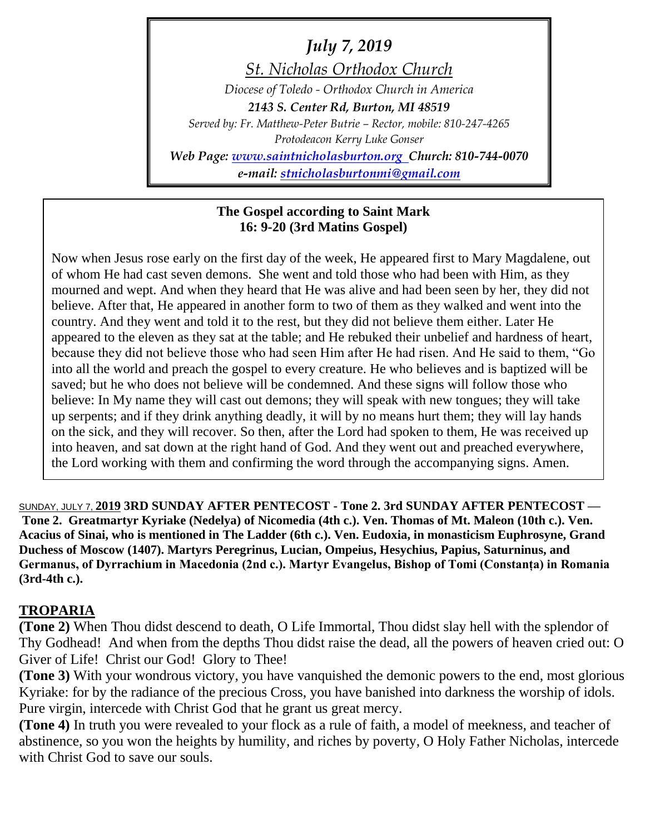*July 7, 2019 St. Nicholas Orthodox Church Diocese of Toledo - Orthodox Church in America 2143 S. Center Rd, Burton, MI 48519 Served by: Fr. Matthew-Peter Butrie – Rector, mobile: 810-247-4265 Protodeacon Kerry Luke Gonser Web Page: [www.saintnicholasburton.org](http://www.saintnicholasburton.org/) Church: 810-744-0070 e-mail: [stnicholasburtonmi@gmail.com](mailto:stnicholasburtonmi@gmail.com)*

### **The Gospel according to Saint Mark 16: 9-20 (3rd Matins Gospel)**

Now when Jesus rose early on the first day of the week, He appeared first to Mary Magdalene, out of whom He had cast seven demons. She went and told those who had been with Him, as they mourned and wept. And when they heard that He was alive and had been seen by her, they did not believe. After that, He appeared in another form to two of them as they walked and went into the country. And they went and told it to the rest, but they did not believe them either. Later He appeared to the eleven as they sat at the table; and He rebuked their unbelief and hardness of heart, because they did not believe those who had seen Him after He had risen. And He said to them, "Go into all the world and preach the gospel to every creature. He who believes and is baptized will be saved; but he who does not believe will be condemned. And these signs will follow those who believe: In My name they will cast out demons; they will speak with new tongues; they will take up serpents; and if they drink anything deadly, it will by no means hurt them; they will lay hands on the sick, and they will recover. So then, after the Lord had spoken to them, He was received up into heaven, and sat down at the right hand of God. And they went out and preached everywhere, the Lord working with them and confirming the word through the accompanying signs. Amen.

SUNDAY, JULY 7, **2019 3RD SUNDAY AFTER PENTECOST - Tone 2. 3rd SUNDAY AFTER PENTECOST — Tone 2. Greatmartyr Kyriake (Nedelya) of Nicomedia (4th c.). Ven. Thomas of Mt. Maleon (10th c.). Ven. Acacius of Sinai, who is mentioned in The Ladder (6th c.). Ven. Eudoxia, in monasticism Euphrosyne, Grand Duchess of Moscow (1407). Martyrs Peregrinus, Lucian, Ompeius, Hesychius, Papius, Saturninus, and Germanus, of Dyrrachium in Macedonia (2nd c.). Martyr Evangelus, Bishop of Tomi (Constanța) in Romania (3rd-4th c.).**

## **TROPARIA**

**(Tone 2)** When Thou didst descend to death, O Life Immortal, Thou didst slay hell with the splendor of Thy Godhead! And when from the depths Thou didst raise the dead, all the powers of heaven cried out: O Giver of Life! Christ our God! Glory to Thee!

**(Tone 3)** With your wondrous victory, you have vanquished the demonic powers to the end, most glorious Kyriake: for by the radiance of the precious Cross, you have banished into darkness the worship of idols. Pure virgin, intercede with Christ God that he grant us great mercy.

**(Tone 4)** In truth you were revealed to your flock as a rule of faith, a model of meekness, and teacher of abstinence, so you won the heights by humility, and riches by poverty, O Holy Father Nicholas, intercede with Christ God to save our souls.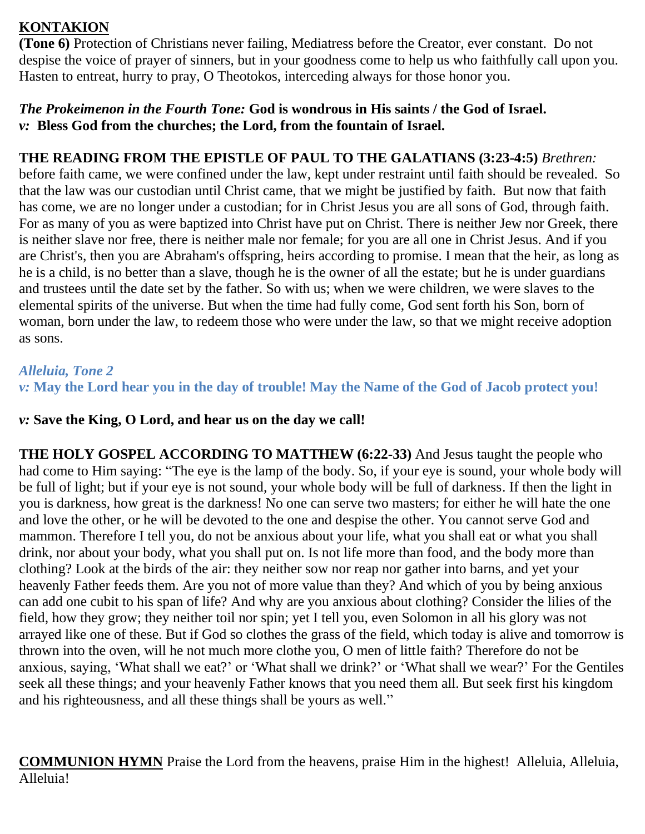# **KONTAKION**

**(Tone 6)** Protection of Christians never failing, Mediatress before the Creator, ever constant. Do not despise the voice of prayer of sinners, but in your goodness come to help us who faithfully call upon you. Hasten to entreat, hurry to pray, O Theotokos, interceding always for those honor you.

# *The Prokeimenon in the Fourth Tone:* **God is wondrous in His saints / the God of Israel.** *v:* **Bless God from the churches; the Lord, from the fountain of Israel.**

# **THE READING FROM THE EPISTLE OF PAUL TO THE GALATIANS (3:23-4:5)** *Brethren:*

before faith came, we were confined under the law, kept under restraint until faith should be revealed. So that the law was our custodian until Christ came, that we might be justified by faith. But now that faith has come, we are no longer under a custodian; for in Christ Jesus you are all sons of God, through faith. For as many of you as were baptized into Christ have put on Christ. There is neither Jew nor Greek, there is neither slave nor free, there is neither male nor female; for you are all one in Christ Jesus. And if you are Christ's, then you are Abraham's offspring, heirs according to promise. I mean that the heir, as long as he is a child, is no better than a slave, though he is the owner of all the estate; but he is under guardians and trustees until the date set by the father. So with us; when we were children, we were slaves to the elemental spirits of the universe. But when the time had fully come, God sent forth his Son, born of woman, born under the law, to redeem those who were under the law, so that we might receive adoption as sons.

### *Alleluia, Tone 2*

*v:* **May the Lord hear you in the day of trouble! May the Name of the God of Jacob protect you!**

## *v:* **Save the King, O Lord, and hear us on the day we call!**

**THE HOLY GOSPEL ACCORDING TO MATTHEW (6:22-33)** And Jesus taught the people who had come to Him saying: "The eye is the lamp of the body. So, if your eye is sound, your whole body will be full of light; but if your eye is not sound, your whole body will be full of darkness. If then the light in you is darkness, how great is the darkness! No one can serve two masters; for either he will hate the one and love the other, or he will be devoted to the one and despise the other. You cannot serve God and mammon. Therefore I tell you, do not be anxious about your life, what you shall eat or what you shall drink, nor about your body, what you shall put on. Is not life more than food, and the body more than clothing? Look at the birds of the air: they neither sow nor reap nor gather into barns, and yet your heavenly Father feeds them. Are you not of more value than they? And which of you by being anxious can add one cubit to his span of life? And why are you anxious about clothing? Consider the lilies of the field, how they grow; they neither toil nor spin; yet I tell you, even Solomon in all his glory was not arrayed like one of these. But if God so clothes the grass of the field, which today is alive and tomorrow is thrown into the oven, will he not much more clothe you, O men of little faith? Therefore do not be anxious, saying, 'What shall we eat?' or 'What shall we drink?' or 'What shall we wear?' For the Gentiles seek all these things; and your heavenly Father knows that you need them all. But seek first his kingdom and his righteousness, and all these things shall be yours as well."

**COMMUNION HYMN** Praise the Lord from the heavens, praise Him in the highest! Alleluia, Alleluia, Alleluia!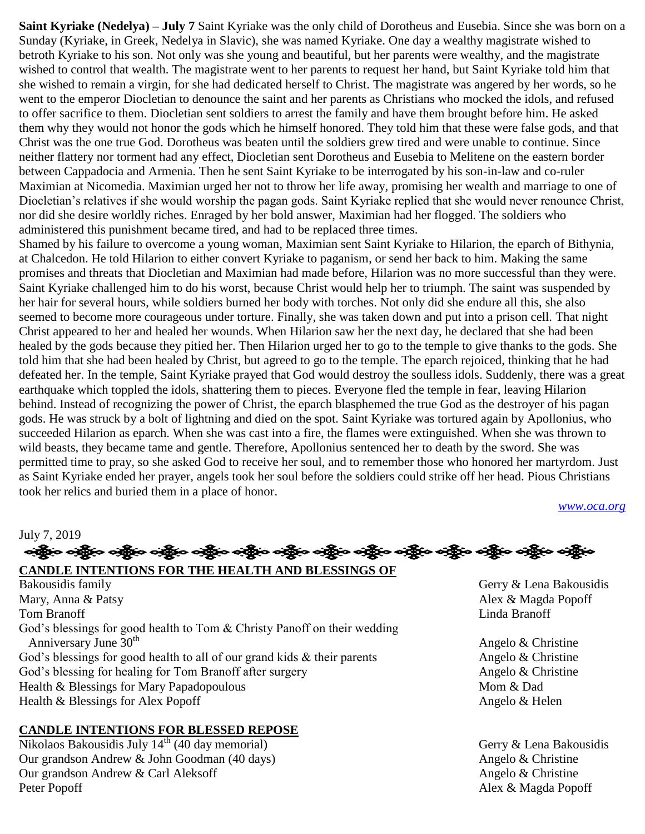**Saint Kyriake (Nedelya) – July 7** Saint Kyriake was the only child of Dorotheus and Eusebia. Since she was born on a Sunday (Kyriake, in Greek, Nedelya in Slavic), she was named Kyriake. One day a wealthy magistrate wished to betroth Kyriake to his son. Not only was she young and beautiful, but her parents were wealthy, and the magistrate wished to control that wealth. The magistrate went to her parents to request her hand, but Saint Kyriake told him that she wished to remain a virgin, for she had dedicated herself to Christ. The magistrate was angered by her words, so he went to the emperor Diocletian to denounce the saint and her parents as Christians who mocked the idols, and refused to offer sacrifice to them. Diocletian sent soldiers to arrest the family and have them brought before him. He asked them why they would not honor the gods which he himself honored. They told him that these were false gods, and that Christ was the one true God. Dorotheus was beaten until the soldiers grew tired and were unable to continue. Since neither flattery nor torment had any effect, Diocletian sent Dorotheus and Eusebia to Melitene on the eastern border between Cappadocia and Armenia. Then he sent Saint Kyriake to be interrogated by his son-in-law and co-ruler Maximian at Nicomedia. Maximian urged her not to throw her life away, promising her wealth and marriage to one of Diocletian's relatives if she would worship the pagan gods. Saint Kyriake replied that she would never renounce Christ, nor did she desire worldly riches. Enraged by her bold answer, Maximian had her flogged. The soldiers who administered this punishment became tired, and had to be replaced three times.

Shamed by his failure to overcome a young woman, Maximian sent Saint Kyriake to Hilarion, the eparch of Bithynia, at Chalcedon. He told Hilarion to either convert Kyriake to paganism, or send her back to him. Making the same promises and threats that Diocletian and Maximian had made before, Hilarion was no more successful than they were. Saint Kyriake challenged him to do his worst, because Christ would help her to triumph. The saint was suspended by her hair for several hours, while soldiers burned her body with torches. Not only did she endure all this, she also seemed to become more courageous under torture. Finally, she was taken down and put into a prison cell. That night Christ appeared to her and healed her wounds. When Hilarion saw her the next day, he declared that she had been healed by the gods because they pitied her. Then Hilarion urged her to go to the temple to give thanks to the gods. She told him that she had been healed by Christ, but agreed to go to the temple. The eparch rejoiced, thinking that he had defeated her. In the temple, Saint Kyriake prayed that God would destroy the soulless idols. Suddenly, there was a great earthquake which toppled the idols, shattering them to pieces. Everyone fled the temple in fear, leaving Hilarion behind. Instead of recognizing the power of Christ, the eparch blasphemed the true God as the destroyer of his pagan gods. He was struck by a bolt of lightning and died on the spot. Saint Kyriake was tortured again by Apollonius, who succeeded Hilarion as eparch. When she was cast into a fire, the flames were extinguished. When she was thrown to wild beasts, they became tame and gentle. Therefore, Apollonius sentenced her to death by the sword. She was permitted time to pray, so she asked God to receive her soul, and to remember those who honored her martyrdom. Just as Saint Kyriake ended her prayer, angels took her soul before the soldiers could strike off her head. Pious Christians took her relics and buried them in a place of honor.

*[www.oca.org](http://www.oca.org/)*

July 7, 2019

# န္ကြိုးေခါ့္ကိုေခါ့္ကိုေခါ့္ကိုေခါ့္ကိုေခါ့္ကိုေခါ့္ကိုေခါ့္ကိုေခါ့္ကိုေခါ့္ကိုေခါ့္ကိုေခါ့္ကိုေခါ့္ကိုေ **CANDLE INTENTIONS FOR THE HEALTH AND BLESSINGS OF**

Bakousidis family Gerry & Lena Bakousidis Mary, Anna & Patsy Alex & Magda Popoff Tom Branoff **Linda Branoff Linda Branoff Linda Branoff** God's blessings for good health to Tom & Christy Panoff on their wedding Anniversary June  $30<sup>th</sup>$  Angelo & Christine God's blessings for good health to all of our grand kids  $\&$  their parents Angelo  $\&$  Christine God's blessing for healing for Tom Branoff after surgery Angelo & Christine Health & Blessings for Mary Papadopoulous Mom & Dad Health & Blessings for Alex Popoff Angelo & Helen

#### **CANDLE INTENTIONS FOR BLESSED REPOSE**

Nikolaos Bakousidis July  $14^{\text{th}}$  (40 day memorial) Gerry & Lena Bakousidis Our grandson Andrew & John Goodman (40 days) Angelo & Christine Our grandson Andrew & Carl Aleksoff Angelo & Christine Peter Popoff Alex & Magda Popoff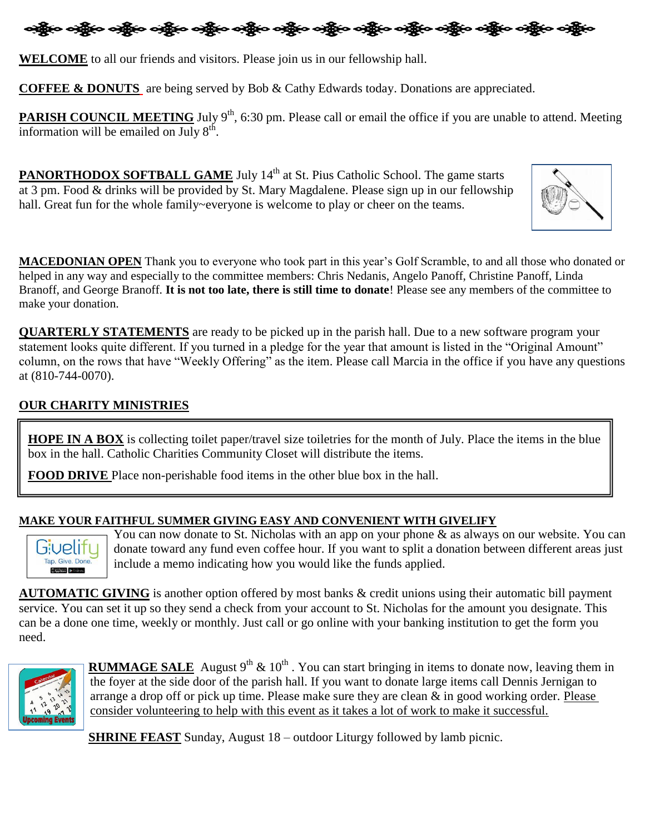

**WELCOME** to all our friends and visitors. Please join us in our fellowship hall.

**COFFEE & DONUTS** are being served by Bob & Cathy Edwards today. Donations are appreciated.

**PARISH COUNCIL MEETING** July 9<sup>th</sup>, 6:30 pm. Please call or email the office if you are unable to attend. Meeting information will be emailed on July  $8<sup>th</sup>$ .

**PANORTHODOX SOFTBALL GAME** July 14<sup>th</sup> at St. Pius Catholic School. The game starts at 3 pm. Food & drinks will be provided by St. Mary Magdalene. Please sign up in our fellowship hall. Great fun for the whole family~everyone is welcome to play or cheer on the teams.



**MACEDONIAN OPEN** Thank you to everyone who took part in this year's Golf Scramble, to and all those who donated or helped in any way and especially to the committee members: Chris Nedanis, Angelo Panoff, Christine Panoff, Linda Branoff, and George Branoff. **It is not too late, there is still time to donate**! Please see any members of the committee to make your donation.

**QUARTERLY STATEMENTS** are ready to be picked up in the parish hall. Due to a new software program your statement looks quite different. If you turned in a pledge for the year that amount is listed in the "Original Amount" column, on the rows that have "Weekly Offering" as the item. Please call Marcia in the office if you have any questions at (810-744-0070).

#### **OUR CHARITY MINISTRIES**

**HOPE IN A BOX** is collecting toilet paper/travel size toiletries for the month of July. Place the items in the blue box in the hall. Catholic Charities Community Closet will distribute the items.

**FOOD DRIVE** Place non-perishable food items in the other blue box in the hall.

### **MAKE YOUR FAITHFUL SUMMER GIVING EASY AND CONVENIENT WITH GIVELIFY**



You can now donate to St. Nicholas with an app on your phone & as always on our website. You can donate toward any fund even coffee hour. If you want to split a donation between different areas just include a memo indicating how you would like the funds applied.

**AUTOMATIC GIVING** is another option offered by most banks & credit unions using their automatic bill payment service. You can set it up so they send a check from your account to St. Nicholas for the amount you designate. This can be a done one time, weekly or monthly. Just call or go online with your banking institution to get the form you need.



**RUMMAGE SALE** August  $9^{th}$  &  $10^{th}$ . You can start bringing in items to donate now, leaving them in the foyer at the side door of the parish hall. If you want to donate large items call Dennis Jernigan to arrange a drop off or pick up time. Please make sure they are clean  $\&$  in good working order. Please consider volunteering to help with this event as it takes a lot of work to make it successful.

**SHRINE FEAST** Sunday, August 18 – outdoor Liturgy followed by lamb picnic.